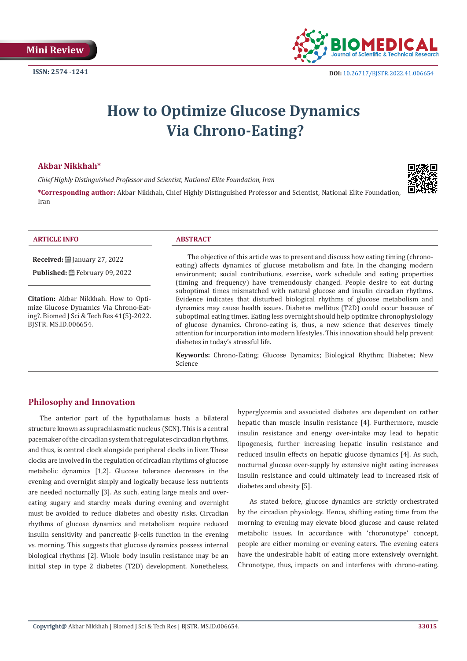

# **How to Optimize Glucose Dynamics Via Chrono-Eating?**

## **Akbar Nikkhah\***

*Chief Highly Distinguished Professor and Scientist, National Elite Foundation, Iran*



**\*Corresponding author:** Akbar Nikkhah, Chief Highly Distinguished Professor and Scientist, National Elite Foundation, Iran

| <b>ARTICLE INFO</b>                            | <b>ABSTRACT</b>                                                                                                                                                     |
|------------------------------------------------|---------------------------------------------------------------------------------------------------------------------------------------------------------------------|
| <b>Received:</b> $\ddot{\Xi}$ January 27, 2022 | The objective of this article was to present and discuss how eating timing (chrono-                                                                                 |
| <b>Published:</b> 圖 February 09, 2022          | eating) affects dynamics of glucose metabolism and fate. In the changing modern<br>environment; social contributions, exercise, work schedule and eating properties |
|                                                | (timing and frequency) have tremendously changed. People desire to eat during                                                                                       |
| Citation: Akbar Nikkhah. How to Opti-          | suboptimal times mismatched with natural glucose and insulin circadian rhythms.<br>Evidence indicates that disturbed biological rhythms of glucose metabolism and   |

**Citation:** Akbar Nikkhah. How to Optimize Glucose Dynamics Via Chrono-Eating?. Biomed J Sci & Tech Res 41(5)-2022. BJSTR. MS.ID.006654.

Evidence indicates that disturbed biological rhythms of glucose metabolism and dynamics may cause health issues. Diabetes mellitus (T2D) could occur because of suboptimal eating times. Eating less overnight should help optimize chronophysiology of glucose dynamics. Chrono-eating is, thus, a new science that deserves timely attention for incorporation into modern lifestyles. This innovation should help prevent diabetes in today's stressful life.

**Keywords:** Chrono-Eating; Glucose Dynamics; Biological Rhythm; Diabetes; New Science

# **Philosophy and Innovation**

The anterior part of the hypothalamus hosts a bilateral structure known as suprachiasmatic nucleus (SCN). This is a central pacemaker of the circadian system that regulates circadian rhythms, and thus, is central clock alongside peripheral clocks in liver. These clocks are involved in the regulation of circadian rhythms of glucose metabolic dynamics [1,2]. Glucose tolerance decreases in the evening and overnight simply and logically because less nutrients are needed nocturnally [3]. As such, eating large meals and overeating sugary and starchy meals during evening and overnight must be avoided to reduce diabetes and obesity risks. Circadian rhythms of glucose dynamics and metabolism require reduced insulin sensitivity and pancreatic β-cells function in the evening vs. morning. This suggests that glucose dynamics possess internal biological rhythms [2]. Whole body insulin resistance may be an initial step in type 2 diabetes (T2D) development. Nonetheless,

hyperglycemia and associated diabetes are dependent on rather hepatic than muscle insulin resistance [4]. Furthermore, muscle insulin resistance and energy over-intake may lead to hepatic lipogenesis, further increasing hepatic insulin resistance and reduced insulin effects on hepatic glucose dynamics [4]. As such, nocturnal glucose over-supply by extensive night eating increases insulin resistance and could ultimately lead to increased risk of diabetes and obesity [5].

As stated before, glucose dynamics are strictly orchestrated by the circadian physiology. Hence, shifting eating time from the morning to evening may elevate blood glucose and cause related metabolic issues. In accordance with 'choronotype' concept, people are either morning or evening eaters. The evening eaters have the undesirable habit of eating more extensively overnight. Chronotype, thus, impacts on and interferes with chrono-eating.